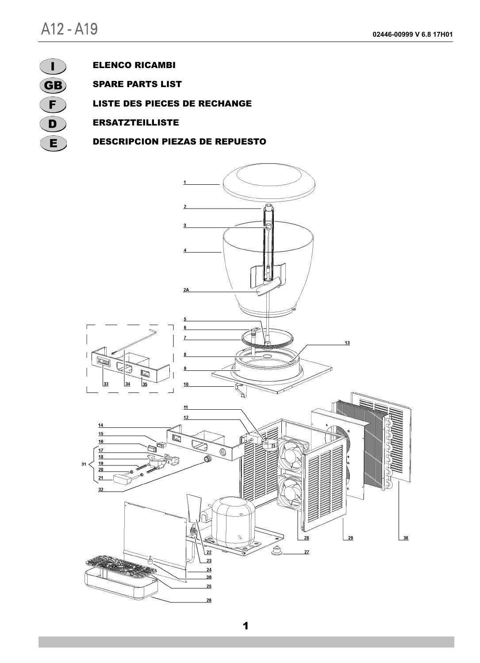

## ELENCO RICAMBI

SPARE PARTS LIST

LISTE DES PIECES DE RECHANGE

ERSATZTEILLISTE

DESCRIPCION PIEZAS DE REPUESTO

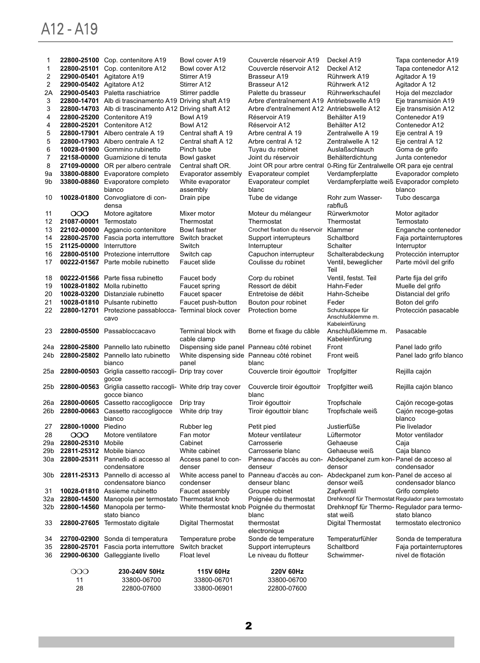## A12 - A19

| $\mathbf{1}$                     |                           | 22800-25100 Cop. contenitore A19                                                           | Bowl cover A19                                      | Couvercle réservoir A19                                                 | Deckel A19                                              | Tapa contenedor A19                                         |
|----------------------------------|---------------------------|--------------------------------------------------------------------------------------------|-----------------------------------------------------|-------------------------------------------------------------------------|---------------------------------------------------------|-------------------------------------------------------------|
| $\mathbf{1}$                     |                           | 22800-25101 Cop. contenitore A12                                                           | Bowl cover A12                                      | Couvercle réservoir A12                                                 | Deckel A12                                              | Tapa contenedor A12                                         |
| $\overline{2}$<br>$\overline{2}$ |                           | 22900-05401 Agitatore A19                                                                  | Stirrer A19                                         | Brasseur A19                                                            | Rührwerk A19                                            | Agitador A 19                                               |
|                                  |                           | 22900-05402 Agitatore A12                                                                  | Stirrer A12                                         | Brasseur A12                                                            | Rührwerk A12                                            | Agitador A 12                                               |
| 2A<br>3                          |                           | 22900-05403 Paletta raschiatrice<br>22800-14701 Alb di trascinamento A19 Driving shaft A19 | Stirrer paddle                                      | Palette du brasseur<br>Arbre d'entraînement A19 Antriebswelle A19       | Rührwerkschaufel                                        | Hoja del mezclador<br>Eje transmisión A19                   |
| 3                                |                           | 22800-14703 Alb di trascinamento A12 Driving shaft A12                                     |                                                     | Arbre d'entraînement A12 Antriebswelle A12                              |                                                         | Eje transmisión A12                                         |
| 4                                |                           | 22800-25200 Contenitore A19                                                                | Bowl A19                                            | Réservoir A19                                                           | Behälter A19                                            | Contenedor A19                                              |
| 4                                |                           | 22800-25201 Contenitore A12                                                                | Bowl A12                                            | Réservoir A12                                                           | Behälter A12                                            | Contenedor A12                                              |
| 5                                |                           | 22800-17901 Albero centrale A 19                                                           | Central shaft A 19                                  | Arbre central A 19                                                      | Zentralwelle A 19                                       | Eje central A 19                                            |
| 5                                |                           | 22800-17903 Albero centrale A 12                                                           | Central shaft A 12                                  | Arbre central A 12                                                      | Zentralwelle A 12                                       | Eje central A 12                                            |
| 6                                |                           | 10028-01900 Gommino rubinetto                                                              | Pinch tube                                          | Tuyau du robinet                                                        | Auslaßschlauch                                          | Goma de grifo                                               |
| $\overline{7}$                   |                           | 22158-00000 Guarnizione di tenuta                                                          | Bowl gasket                                         | Joint du réservoir                                                      | Behälterdichtung                                        | Junta contenedor                                            |
| 8                                |                           | 27109-00000 OR per albero centrale                                                         | Central shaft OR.                                   | Joint OR pour arbre central 0-Ring für Zentralwelle OR para eje central |                                                         |                                                             |
| 9а                               |                           | 33800-08800 Evaporatore completo                                                           | Evaporator assembly                                 | Evaporateur complet                                                     | Verdampferplatte                                        | Evaporador completo                                         |
| 9b                               |                           | 33800-08860 Evaporatore completo<br>bianco                                                 | White evaporator<br>assembly                        | Evaporateur complet<br>blanc                                            | Verdampferplatte weiß Evaporador completo               | blanco                                                      |
| 10                               |                           | 10028-01800 Convogliatore di con-<br>densa                                                 | Drain pipe                                          | Tube de vidange                                                         | Rohr zum Wasser-<br>rabfluß                             | Tubo descarga                                               |
| 11                               | ၀၀၀                       | Motore agitatore                                                                           | Mixer motor                                         | Moteur du mélangeur                                                     | Rürwerkmotor                                            | Motor agitador                                              |
| 12                               | 21087-00001               | Termostato                                                                                 | Thermostat                                          | Thermostat                                                              | Thermostat                                              | Termostato                                                  |
| 13                               | 22102-00000               | Aggancio contenitore                                                                       | Bowl fastner                                        | Crochet fixation du réservoir                                           | Klammer                                                 | Enganche contenedor                                         |
| 14                               | 21125-00000 Interruttore  | 22800-25700 Fascia porta interruttore                                                      | Switch bracket<br>Switch                            | Support interrupteurs                                                   | Schaltbord<br>Schalter                                  | Faja portainterruptores                                     |
| 15<br>16                         |                           | 22800-05100 Protezione interruttore                                                        | Switch cap                                          | Interrupteur<br>Capuchon interrupteur                                   | Schalterabdeckung                                       | Interruptor<br>Protección interruptor                       |
| 17                               |                           | 00222-01567 Parte mobile rubinetto                                                         | Faucet slide                                        | Coulisse du robinet                                                     | Ventil, beweglicher<br>Teil                             | Parte móvil del grifo                                       |
| 18                               |                           | 00222-01566 Parte fissa rubinetto                                                          | Faucet body                                         | Corp du robinet                                                         | Ventil, festst. Teil                                    | Parte fija del grifo                                        |
| 19                               |                           | 10028-01802 Molla rubinetto                                                                | Faucet spring                                       | Ressort de débit                                                        | Hahn-Feder                                              | Muelle del grifo                                            |
| 20                               |                           | 10028-03200 Distanziale rubinetto                                                          | Faucet spacer                                       | Entretoise de débit                                                     | Hahn-Scheibe                                            | Distancial del grifo                                        |
| 21                               |                           | 10028-01810 Pulsante rubinetto                                                             | Faucet push-button                                  | Bouton pour robinet                                                     | Feder                                                   | Boton del grifo                                             |
| 22                               |                           | 22800-12701 Protezione passablocca- Terminal block cover<br>cavo                           |                                                     | Protection borne                                                        | Schutzkappe für<br>Anschlußklemme m.                    | Protección pasacable                                        |
| 23                               |                           | 22800-05500 Passabloccacavo                                                                | Terminal block with<br>cable clamp                  | Borne et fixage du câble                                                | Kabeleinfürung<br>Anschlußklemme m.<br>Kabeleinfürung   | Pasacable                                                   |
| 24a                              |                           | 22800-25800 Pannello lato rubinetto                                                        | Dispensing side panel Panneau côté robinet          |                                                                         | Front                                                   | Panel lado grifo                                            |
| 24b                              |                           | 22800-25802 Pannello lato rubinetto<br>bianco                                              | White dispensing side Panneau côté robinet<br>panel | blanc                                                                   | Front weiß                                              | Panel lado grifo blanco                                     |
| 25а                              |                           | 22800-00503 Griglia cassetto raccogli- Drip tray cover<br>gocce                            |                                                     | Couvercle tiroir égouttoir                                              | Tropfgitter                                             | Rejilla cajón                                               |
| 25b                              |                           | 22800-00563 Griglia cassetto raccogli- White drip tray cover<br>gocce bianco               |                                                     | Couvercle tiroir égouttoir<br>blanc                                     | Tropfgitter weiß                                        | Rejilla cajón blanco                                        |
|                                  |                           | 26a 22800-00605 Cassetto raccogligocce                                                     | Drip tray                                           | Tiroir égouttoir                                                        | Tropfschale                                             | Cajón recoge-gotas                                          |
|                                  |                           | 26b 22800-00663 Cassetto raccogligocce<br>bianco                                           | White drip tray                                     | Tiroir égouttoir blanc                                                  | Tropfschale weiß                                        | Cajón recoge-gotas<br>blanco                                |
| 27                               | 22800-10000 Piedino       |                                                                                            | Rubber leg                                          | Petit pied                                                              | Justierfüße                                             | Pie livelador                                               |
| 28                               | 000                       | Motore ventilatore                                                                         | Fan motor                                           | Moteur ventilateur                                                      | Lüftermotor                                             | Motor ventilador                                            |
| 29a                              | 22800-25310 Mobile        |                                                                                            | Cabinet                                             | Carrosserie                                                             | Gehaeuse                                                | Caja                                                        |
| 29b<br>30a                       | 22811-25312 Mobile bianco | 22800-25311 Pannello di accesso al                                                         | White cabinet<br>Access panel to con-               | Carrosserie blanc                                                       | Gehaeuse weiß<br>Abdeckpanel zum kon-Panel de acceso al | Caja blanco                                                 |
|                                  |                           | condensatore                                                                               | denser                                              | Panneau d'accès au con-<br>denseur                                      | densor                                                  | condensador                                                 |
| 30b                              |                           | 22811-25313 Pannello di accesso al                                                         |                                                     | White access panel to Panneau d'accès au con-                           | Abdeckpanel zum kon-Panel de acceso al                  |                                                             |
|                                  |                           | condensatore bianco                                                                        | condenser                                           | denseur blanc                                                           | densor weiß                                             | condensador blanco                                          |
| 31                               |                           | 10028-01810 Assieme rubinetto                                                              | Faucet assembly                                     | Groupe robinet                                                          | Zapfventil                                              | Grifo completo                                              |
| 32a                              |                           | 22800-14500 Manopola per termostato Thermostat knob                                        |                                                     | Poignée du thermostat                                                   |                                                         | Drehknopf für Thermostat Regulador para termostato          |
| 32b                              |                           | 22800-14560 Manopola per termo-<br>stato bianco                                            |                                                     | White thermostat knob Poignée du thermostat<br>blanc                    | stat weiß                                               | Drehknopf für Thermo- Regulador para termo-<br>stato blanco |
| 33                               |                           | 22800-27605 Termostato digitale                                                            | Digital Thermostat                                  | thermostat<br>electronique                                              | Digital Thermostat                                      | termostato electronico                                      |
| 34                               |                           | 22700-02900 Sonda di temperatura                                                           | Temperature probe                                   | Sonde de temperature                                                    | Temperaturfühler                                        | Sonda de temperatura                                        |
| 35                               |                           | 22800-25701 Fascia porta interruttore                                                      | Switch bracket                                      | Support interrupteurs                                                   | Schaltbord                                              | Faja portainterruptores                                     |
| 36                               |                           | 22900-06300 Galleggiante livello                                                           | Float level                                         | Le niveau du flotteur                                                   | Schwimmer-                                              | nivel de flotación                                          |
|                                  | 000                       | 230-240V 50Hz                                                                              | 115V 60Hz                                           | 220V 60Hz                                                               |                                                         |                                                             |
|                                  | 11                        | 33800-06700                                                                                | 33800-06701                                         | 33800-06700                                                             |                                                         |                                                             |
|                                  | 28                        | 22800-07600                                                                                | 33800-06901                                         | 22800-07600                                                             |                                                         |                                                             |